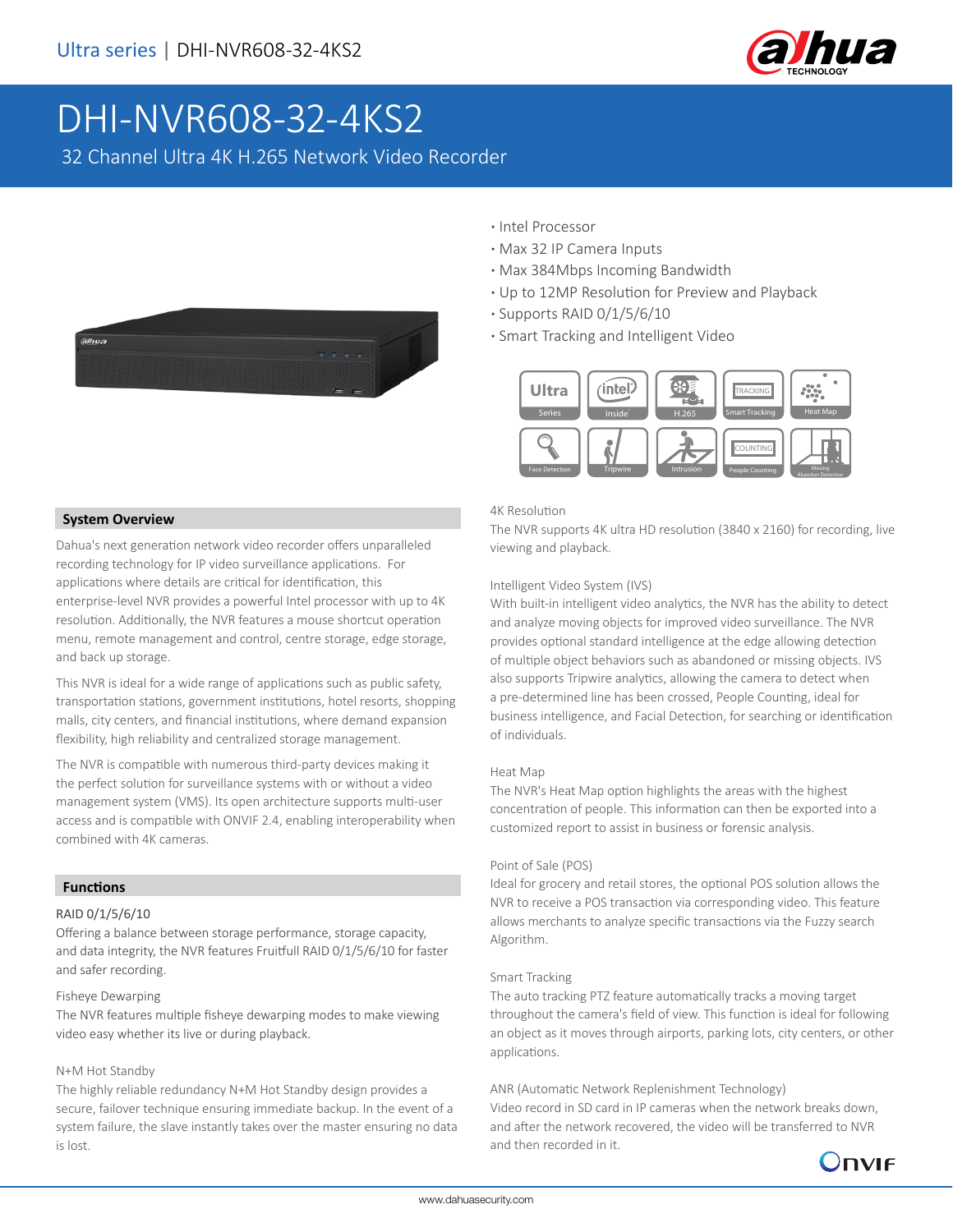

# DHI-NVR608-32-4KS2

32 Channel Ultra 4K H.265 Network Video Recorder



- **·** Intel Processor
- **·** Max 32 IP Camera Inputs
- **·** Max 384Mbps Incoming Bandwidth
- **·** Up to 12MP Resolution for Preview and Playback
- **·** Supports RAID 0/1/5/6/10
- **·** Smart Tracking and Intelligent Video



#### **System Overview**

Dahua's next generation network video recorder offers unparalleled recording technology for IP video surveillance applications. For applications where details are critical for identification, this enterprise-level NVR provides a powerful Intel processor with up to 4K resolution. Additionally, the NVR features a mouse shortcut operation menu, remote management and control, centre storage, edge storage, and back up storage.

This NVR is ideal for a wide range of applications such as public safety, transportation stations, government institutions, hotel resorts, shopping malls, city centers, and financial institutions, where demand expansion flexibility, high reliability and centralized storage management.

The NVR is compatible with numerous third-party devices making it the perfect solution for surveillance systems with or without a video management system (VMS). Its open architecture supports multi-user access and is compatible with ONVIF 2.4, enabling interoperability when combined with 4K cameras.

#### **Functions**

#### RAID 0/1/5/6/10

Offering a balance between storage performance, storage capacity, and data integrity, the NVR features Fruitfull RAID 0/1/5/6/10 for faster and safer recording.

#### Fisheye Dewarping

The NVR features multiple fisheye dewarping modes to make viewing video easy whether its live or during playback.

#### N+M Hot Standby

The highly reliable redundancy N+M Hot Standby design provides a secure, failover technique ensuring immediate backup. In the event of a system failure, the slave instantly takes over the master ensuring no data is lost.

#### 4K Resolution

The NVR supports 4K ultra HD resolution (3840 x 2160) for recording, live viewing and playback.

#### Intelligent Video System (IVS)

With built-in intelligent video analytics, the NVR has the ability to detect and analyze moving objects for improved video surveillance. The NVR provides optional standard intelligence at the edge allowing detection of multiple object behaviors such as abandoned or missing objects. IVS also supports Tripwire analytics, allowing the camera to detect when a pre-determined line has been crossed, People Counting, ideal for business intelligence, and Facial Detection, for searching or identification of individuals.

#### Heat Map

The NVR's Heat Map option highlights the areas with the highest concentration of people. This information can then be exported into a customized report to assist in business or forensic analysis.

#### Point of Sale (POS)

Ideal for grocery and retail stores, the optional POS solution allows the NVR to receive a POS transaction via corresponding video. This feature allows merchants to analyze specific transactions via the Fuzzy search Algorithm.

#### Smart Tracking

The auto tracking PTZ feature automatically tracks a moving target throughout the camera's field of view. This function is ideal for following an object as it moves through airports, parking lots, city centers, or other applications.

#### ANR (Automatic Network Replenishment Technology)

Video record in SD card in IP cameras when the network breaks down, and after the network recovered, the video will be transferred to NVR and then recorded in it.

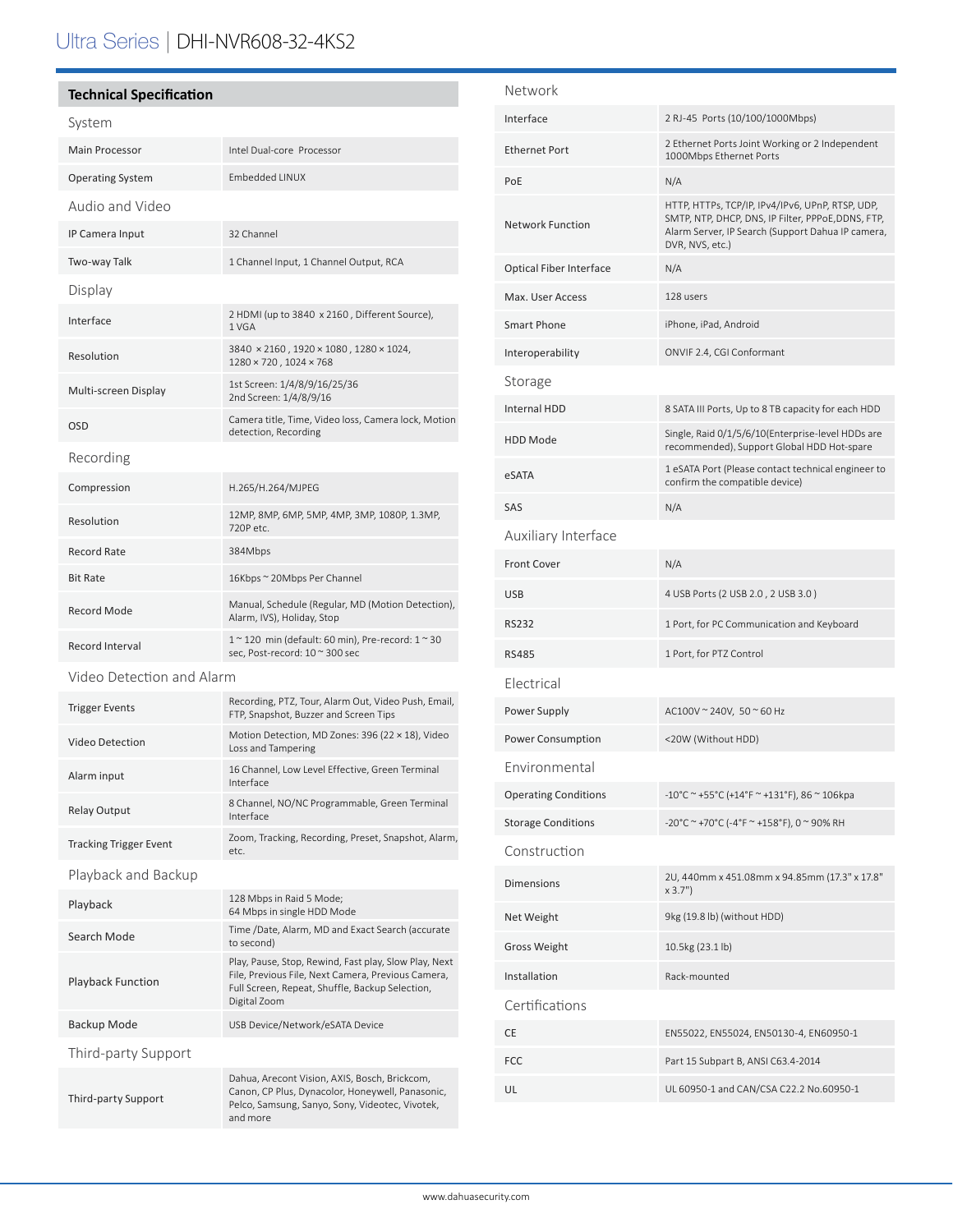# Ultra Series | DHI-NVR608-32-4KS2

# **Technical Specification**

| System                        |                                                                                                                                                                                |  |  |  |
|-------------------------------|--------------------------------------------------------------------------------------------------------------------------------------------------------------------------------|--|--|--|
| <b>Main Processor</b>         | Intel Dual-core Processor                                                                                                                                                      |  |  |  |
| <b>Operating System</b>       | Embedded LINUX                                                                                                                                                                 |  |  |  |
| Audio and Video               |                                                                                                                                                                                |  |  |  |
| IP Camera Input               | 32 Channel                                                                                                                                                                     |  |  |  |
| Two-way Talk                  | 1 Channel Input, 1 Channel Output, RCA                                                                                                                                         |  |  |  |
| Display                       |                                                                                                                                                                                |  |  |  |
| Interface                     | 2 HDMI (up to 3840 x 2160, Different Source),<br>1 VGA                                                                                                                         |  |  |  |
| Resolution                    | 3840 × 2160, 1920 × 1080, 1280 × 1024,<br>1280 × 720, 1024 × 768                                                                                                               |  |  |  |
| Multi-screen Display          | 1st Screen: 1/4/8/9/16/25/36<br>2nd Screen: 1/4/8/9/16                                                                                                                         |  |  |  |
| OSD                           | Camera title, Time, Video loss, Camera lock, Motion<br>detection, Recording                                                                                                    |  |  |  |
| Recording                     |                                                                                                                                                                                |  |  |  |
| Compression                   | H.265/H.264/MJPEG                                                                                                                                                              |  |  |  |
| Resolution                    | 12MP, 8MP, 6MP, 5MP, 4MP, 3MP, 1080P, 1.3MP,<br>720P etc.                                                                                                                      |  |  |  |
| Record Rate                   | 384Mbps                                                                                                                                                                        |  |  |  |
| <b>Bit Rate</b>               | 16Kbps ~ 20Mbps Per Channel                                                                                                                                                    |  |  |  |
| Record Mode                   | Manual, Schedule (Regular, MD (Motion Detection),<br>Alarm, IVS), Holiday, Stop                                                                                                |  |  |  |
| Record Interval               | 1 ~ 120 min (default: 60 min), Pre-record: 1 ~ 30<br>sec, Post-record: 10 ~ 300 sec                                                                                            |  |  |  |
| Video Detection and Alarm     |                                                                                                                                                                                |  |  |  |
| <b>Trigger Events</b>         | Recording, PTZ, Tour, Alarm Out, Video Push, Email,<br>FTP, Snapshot, Buzzer and Screen Tips                                                                                   |  |  |  |
| <b>Video Detection</b>        | Motion Detection, MD Zones: 396 (22 × 18), Video<br>Loss and Tampering                                                                                                         |  |  |  |
| Alarm input                   | 16 Channel, Low Level Effective, Green Terminal<br>Interface                                                                                                                   |  |  |  |
| Relay Output                  | 8 Channel, NO/NC Programmable, Green Terminal<br>Interface                                                                                                                     |  |  |  |
| <b>Tracking Trigger Event</b> | Zoom, Tracking, Recording, Preset, Snapshot, Alarm,<br>etc.                                                                                                                    |  |  |  |
| Playback and Backup           |                                                                                                                                                                                |  |  |  |
| Playback                      | 128 Mbps in Raid 5 Mode;<br>64 Mbps in single HDD Mode                                                                                                                         |  |  |  |
| Search Mode                   | Time /Date, Alarm, MD and Exact Search (accurate<br>to second)                                                                                                                 |  |  |  |
| <b>Playback Function</b>      | Play, Pause, Stop, Rewind, Fast play, Slow Play, Next<br>File, Previous File, Next Camera, Previous Camera,<br>Full Screen, Repeat, Shuffle, Backup Selection,<br>Digital Zoom |  |  |  |
| Backup Mode                   | USB Device/Network/eSATA Device                                                                                                                                                |  |  |  |
| Third-party Support           |                                                                                                                                                                                |  |  |  |
| Third-party Support           | Dahua, Arecont Vision, AXIS, Bosch, Brickcom,<br>Canon, CP Plus, Dynacolor, Honeywell, Panasonic,<br>Pelco, Samsung, Sanyo, Sony, Videotec, Vivotek,<br>and more               |  |  |  |

| Network                     |                                                                                                                                                                               |  |  |
|-----------------------------|-------------------------------------------------------------------------------------------------------------------------------------------------------------------------------|--|--|
| Interface                   | 2 RJ-45 Ports (10/100/1000Mbps)                                                                                                                                               |  |  |
| <b>Ethernet Port</b>        | 2 Ethernet Ports Joint Working or 2 Independent<br>1000Mbps Ethernet Ports                                                                                                    |  |  |
| PoE                         | N/A                                                                                                                                                                           |  |  |
| <b>Network Function</b>     | HTTP, HTTPs, TCP/IP, IPv4/IPv6, UPnP, RTSP, UDP,<br>SMTP, NTP, DHCP, DNS, IP Filter, PPPoE,DDNS, FTP,<br>Alarm Server, IP Search (Support Dahua IP camera,<br>DVR, NVS, etc.) |  |  |
| Optical Fiber Interface     | N/A                                                                                                                                                                           |  |  |
| Max. User Access            | 128 users                                                                                                                                                                     |  |  |
| Smart Phone                 | iPhone, iPad, Android                                                                                                                                                         |  |  |
| Interoperability            | ONVIF 2.4, CGI Conformant                                                                                                                                                     |  |  |
| Storage                     |                                                                                                                                                                               |  |  |
| <b>Internal HDD</b>         | 8 SATA III Ports, Up to 8 TB capacity for each HDD                                                                                                                            |  |  |
| <b>HDD Mode</b>             | Single, Raid 0/1/5/6/10(Enterprise-level HDDs are<br>recommended), Support Global HDD Hot-spare                                                                               |  |  |
| eSATA                       | 1 eSATA Port (Please contact technical engineer to<br>confirm the compatible device)                                                                                          |  |  |
| SAS                         | N/A                                                                                                                                                                           |  |  |
| Auxiliary Interface         |                                                                                                                                                                               |  |  |
| <b>Front Cover</b>          | N/A                                                                                                                                                                           |  |  |
| <b>USB</b>                  | 4 USB Ports (2 USB 2.0, 2 USB 3.0)                                                                                                                                            |  |  |
| <b>RS232</b>                | 1 Port, for PC Communication and Keyboard                                                                                                                                     |  |  |
| <b>RS485</b>                | 1 Port, for PTZ Control                                                                                                                                                       |  |  |
| Electrical                  |                                                                                                                                                                               |  |  |
| Power Supply                | AC100V ~ 240V, 50 ~ 60 Hz                                                                                                                                                     |  |  |
| Power Consumption           | <20W (Without HDD)                                                                                                                                                            |  |  |
| Environmental               |                                                                                                                                                                               |  |  |
| <b>Operating Conditions</b> | -10°C ~ +55°C (+14°F ~ +131°F), 86 ~ 106kpa                                                                                                                                   |  |  |
| <b>Storage Conditions</b>   | -20°C ~ +70°C (-4°F ~ +158°F), 0 ~ 90% RH                                                                                                                                     |  |  |
| Construction                |                                                                                                                                                                               |  |  |
| <b>Dimensions</b>           | 2U, 440mm x 451.08mm x 94.85mm (17.3" x 17.8"<br>x 3.7"                                                                                                                       |  |  |
| Net Weight                  | 9kg (19.8 lb) (without HDD)                                                                                                                                                   |  |  |
| <b>Gross Weight</b>         | 10.5kg (23.1 lb)                                                                                                                                                              |  |  |
| Installation                | Rack-mounted                                                                                                                                                                  |  |  |
| Certifications              |                                                                                                                                                                               |  |  |
| CE                          | EN55022, EN55024, EN50130-4, EN60950-1                                                                                                                                        |  |  |
| FCC                         | Part 15 Subpart B, ANSI C63.4-2014                                                                                                                                            |  |  |
| UL                          | UL 60950-1 and CAN/CSA C22.2 No.60950-1                                                                                                                                       |  |  |